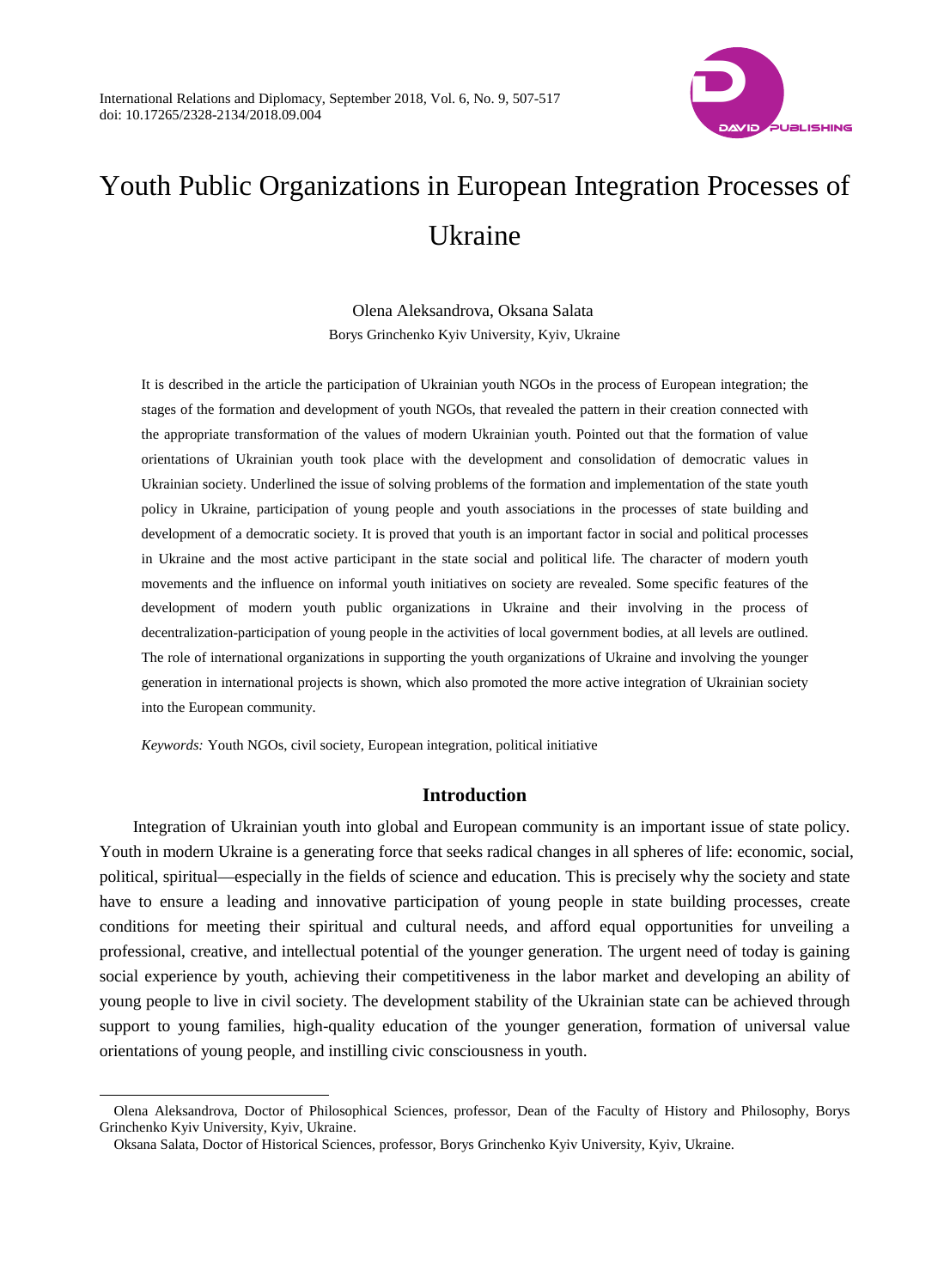

# Youth Public Organizations in European Integration Processes of Ukraine

Olena Aleksandrova, Oksana Salata Borys Grinchenko Kyiv University, Kyiv, Ukraine

It is described in the article the participation of Ukrainian youth NGOs in the process of European integration; the stages of the formation and development of youth NGOs, that revealed the pattern in their creation connected with the appropriate transformation of the values of modern Ukrainian youth. Pointed out that the formation of value orientations of Ukrainian youth took place with the development and consolidation of democratic values in Ukrainian society. Underlined the issue of solving problems of the formation and implementation of the state youth policy in Ukraine, participation of young people and youth associations in the processes of state building and development of a democratic society. It is proved that youth is an important factor in social and political processes in Ukraine and the most active participant in the state social and political life. The character of modern youth movements and the influence on informal youth initiatives on society are revealed. Some specific features of the development of modern youth public organizations in Ukraine and their involving in the process of decentralization-participation of young people in the activities of local government bodies, at all levels are outlined. The role of international organizations in supporting the youth organizations of Ukraine and involving the younger generation in international projects is shown, which also promoted the more active integration of Ukrainian society into the European community.

*Keywords:* Youth NGOs, civil society, European integration, political initiative

## **Introduction**

Integration of Ukrainian youth into global and European community is an important issue of state policy. Youth in modern Ukraine is a generating force that seeks radical changes in all spheres of life: economic, social, political, spiritual—especially in the fields of science and education. This is precisely why the society and state have to ensure a leading and innovative participation of young people in state building processes, create conditions for meeting their spiritual and cultural needs, and afford equal opportunities for unveiling a professional, creative, and intellectual potential of the younger generation. The urgent need of today is gaining social experience by youth, achieving their competitiveness in the labor market and developing an ability of young people to live in civil society. The development stability of the Ukrainian state can be achieved through support to young families, high-quality education of the younger generation, formation of universal value orientations of young people, and instilling civic consciousness in youth.

 $\overline{a}$ 

Olena Aleksandrova, Doctor of Philosophical Sciences, professor, Dean of the Faculty of History and Philosophy, Borys Grinchenko Kyiv University, Kyiv, Ukraine.

Oksana Salata, Doctor of Historical Sciences, professor, Borys Grinchenko Kyiv University, Kyiv, Ukraine.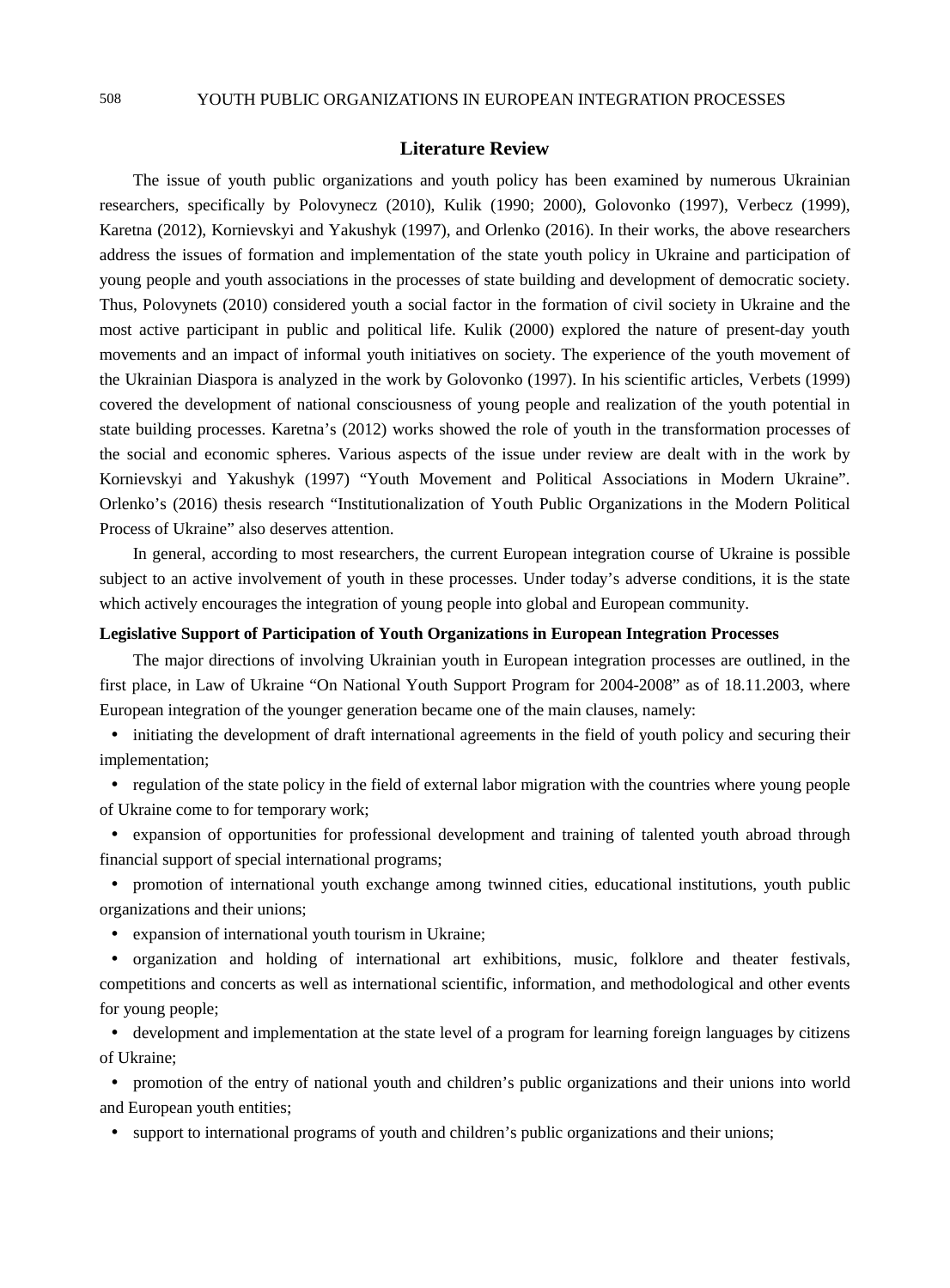## **Literature Review**

The issue of youth public organizations and youth policy has been examined by numerous Ukrainian researchers, specifically by Polovynecz (2010), Kulik (1990; 2000), Golovonko (1997), Verbecz (1999), Karetna (2012), Kornievskyi and Yakushyk (1997), and Orlenko (2016). In their works, the above researchers address the issues of formation and implementation of the state youth policy in Ukraine and participation of young people and youth associations in the processes of state building and development of democratic society. Thus, Polovynets (2010) considered youth a social factor in the formation of civil society in Ukraine and the most active participant in public and political life. Kulik (2000) explored the nature of present-day youth movements and an impact of informal youth initiatives on society. The experience of the youth movement of the Ukrainian Diaspora is analyzed in the work by Golovonko (1997). In his scientific articles, Verbets (1999) covered the development of national consciousness of young people and realization of the youth potential in state building processes. Karetna's (2012) works showed the role of youth in the transformation processes of the social and economic spheres. Various aspects of the issue under review are dealt with in the work by Kornievskyi and Yakushyk (1997) "Youth Movement and Political Associations in Modern Ukraine". Orlenko's (2016) thesis research "Institutionalization of Youth Public Organizations in the Modern Political Process of Ukraine" also deserves attention.

In general, according to most researchers, the current European integration course of Ukraine is possible subject to an active involvement of youth in these processes. Under today's adverse conditions, it is the state which actively encourages the integration of young people into global and European community.

## **Legislative Support of Participation of Youth Organizations in European Integration Processes**

The major directions of involving Ukrainian youth in European integration processes are outlined, in the first place, in Law of Ukraine "On National Youth Support Program for 2004-2008" as of 18.11.2003, where European integration of the younger generation became one of the main clauses, namely:

• initiating the development of draft international agreements in the field of youth policy and securing their implementation;

• regulation of the state policy in the field of external labor migration with the countries where young people of Ukraine come to for temporary work;

 expansion of opportunities for professional development and training of talented youth abroad through financial support of special international programs;

 promotion of international youth exchange among twinned cities, educational institutions, youth public organizations and their unions;

expansion of international youth tourism in Ukraine;

 organization and holding of international art exhibitions, music, folklore and theater festivals, competitions and concerts as well as international scientific, information, and methodological and other events for young people;

 development and implementation at the state level of a program for learning foreign languages by citizens of Ukraine;

 promotion of the entry of national youth and children's public organizations and their unions into world and European youth entities;

• support to international programs of youth and children's public organizations and their unions;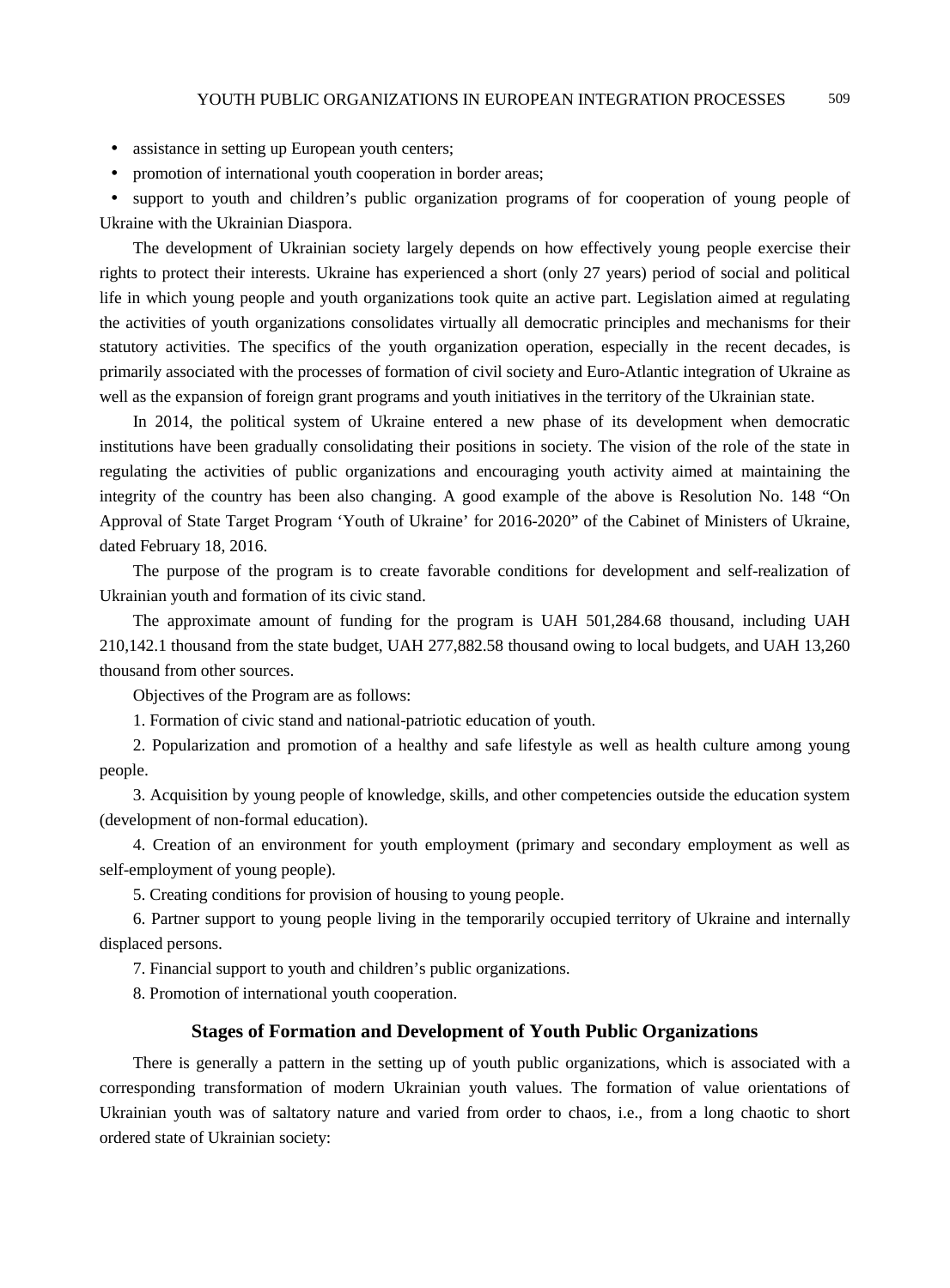- assistance in setting up European youth centers;
- promotion of international youth cooperation in border areas;

 support to youth and children's public organization programs of for cooperation of young people of Ukraine with the Ukrainian Diaspora.

The development of Ukrainian society largely depends on how effectively young people exercise their rights to protect their interests. Ukraine has experienced a short (only 27 years) period of social and political life in which young people and youth organizations took quite an active part. Legislation aimed at regulating the activities of youth organizations consolidates virtually all democratic principles and mechanisms for their statutory activities. The specifics of the youth organization operation, especially in the recent decades, is primarily associated with the processes of formation of civil society and Euro-Atlantic integration of Ukraine as well as the expansion of foreign grant programs and youth initiatives in the territory of the Ukrainian state.

In 2014, the political system of Ukraine entered a new phase of its development when democratic institutions have been gradually consolidating their positions in society. The vision of the role of the state in regulating the activities of public organizations and encouraging youth activity aimed at maintaining the integrity of the country has been also changing. A good example of the above is Resolution No. 148 "On Approval of State Target Program 'Youth of Ukraine' for 2016-2020" of the Cabinet of Ministers of Ukraine, dated February 18, 2016.

The purpose of the program is to create favorable conditions for development and self-realization of Ukrainian youth and formation of its civic stand.

The approximate amount of funding for the program is UAH 501,284.68 thousand, including UAH 210,142.1 thousand from the state budget, UAH 277,882.58 thousand owing to local budgets, and UAH 13,260 thousand from other sources.

Objectives of the Program are as follows:

1. Formation of civic stand and national-patriotic education of youth.

2. Popularization and promotion of a healthy and safe lifestyle as well as health culture among young people.

3. Acquisition by young people of knowledge, skills, and other competencies outside the education system (development of non-formal education).

4. Creation of an environment for youth employment (primary and secondary employment as well as self-employment of young people).

5. Creating conditions for provision of housing to young people.

6. Partner support to young people living in the temporarily occupied territory of Ukraine and internally displaced persons.

7. Financial support to youth and children's public organizations.

8. Promotion of international youth cooperation.

## **Stages of Formation and Development of Youth Public Organizations**

There is generally a pattern in the setting up of youth public organizations, which is associated with a corresponding transformation of modern Ukrainian youth values. The formation of value orientations of Ukrainian youth was of saltatory nature and varied from order to chaos, i.e., from a long chaotic to short ordered state of Ukrainian society: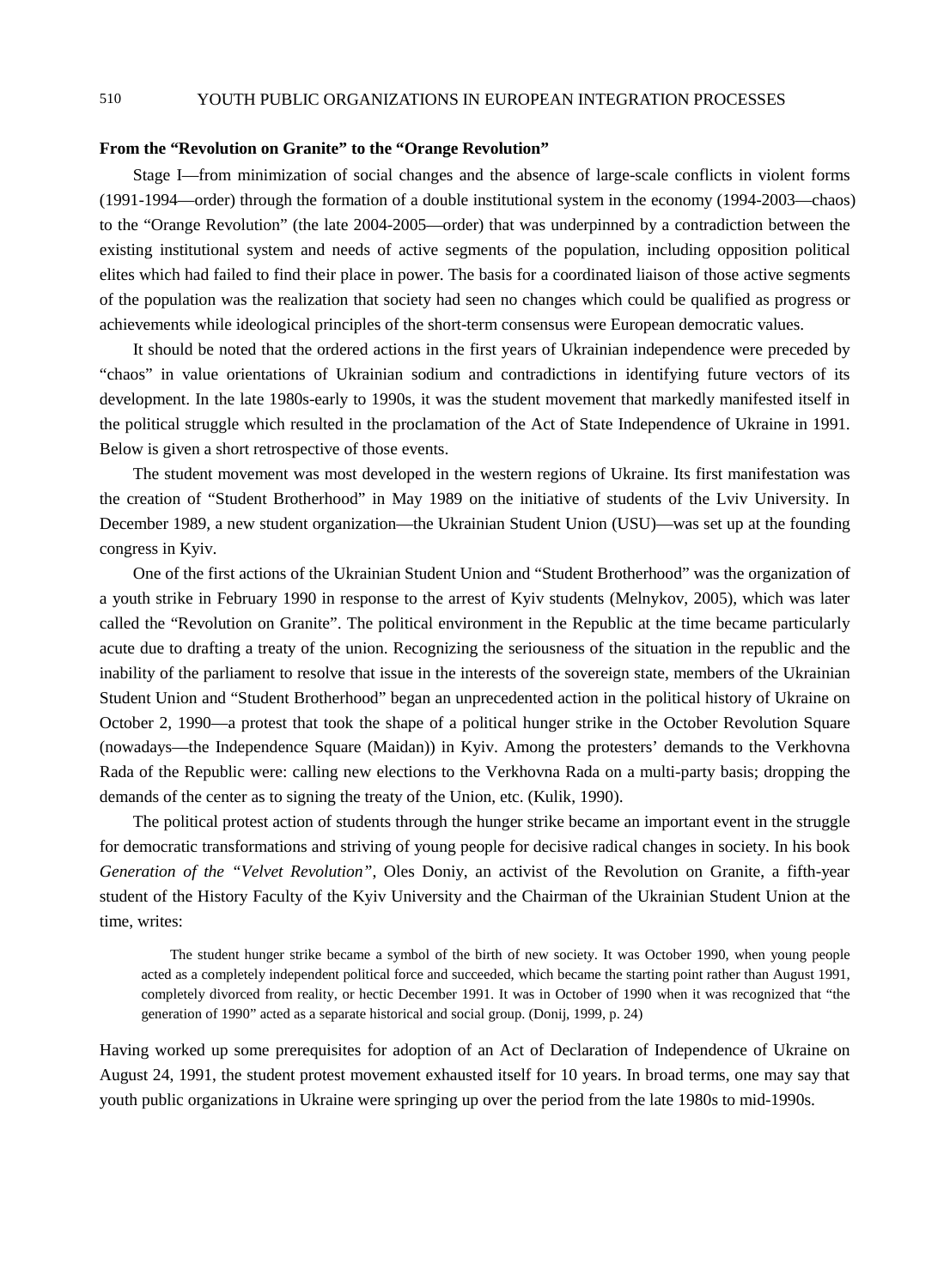# 510 YOUTH PUBLIC ORGANIZATIONS IN EUROPEAN INTEGRATION PROCESSES

### **From the "Revolution on Granite" to the "Orange Revolution"**

Stage I—from minimization of social changes and the absence of large-scale conflicts in violent forms (1991-1994—order) through the formation of a double institutional system in the economy (1994-2003—chaos) to the "Orange Revolution" (the late 2004-2005—order) that was underpinned by a contradiction between the existing institutional system and needs of active segments of the population, including opposition political elites which had failed to find their place in power. The basis for a coordinated liaison of those active segments of the population was the realization that society had seen no changes which could be qualified as progress or achievements while ideological principles of the short-term consensus were European democratic values.

It should be noted that the ordered actions in the first years of Ukrainian independence were preceded by "chaos" in value orientations of Ukrainian sodium and contradictions in identifying future vectors of its development. In the late 1980s-early to 1990s, it was the student movement that markedly manifested itself in the political struggle which resulted in the proclamation of the Act of State Independence of Ukraine in 1991. Below is given a short retrospective of those events.

The student movement was most developed in the western regions of Ukraine. Its first manifestation was the creation of "Student Brotherhood" in May 1989 on the initiative of students of the Lviv University. In December 1989, a new student organization—the Ukrainian Student Union (USU)—was set up at the founding congress in Kyiv.

One of the first actions of the Ukrainian Student Union and "Student Brotherhood" was the organization of a youth strike in February 1990 in response to the arrest of Kyiv students (Melnykov, 2005), which was later called the "Revolution on Granite". The political environment in the Republic at the time became particularly acute due to drafting a treaty of the union. Recognizing the seriousness of the situation in the republic and the inability of the parliament to resolve that issue in the interests of the sovereign state, members of the Ukrainian Student Union and "Student Brotherhood" began an unprecedented action in the political history of Ukraine on October 2, 1990—a protest that took the shape of a political hunger strike in the October Revolution Square (nowadays—the Independence Square (Maidan)) in Kyiv. Among the protesters' demands to the Verkhovna Rada of the Republic were: calling new elections to the Verkhovna Rada on a multi-party basis; dropping the demands of the center as to signing the treaty of the Union, etc. (Kulik, 1990).

The political protest action of students through the hunger strike became an important event in the struggle for democratic transformations and striving of young people for decisive radical changes in society. In his book *Generation of the "Velvet Revolution"*, Oles Doniy, an activist of the Revolution on Granite, a fifth-year student of the History Faculty of the Kyiv University and the Chairman of the Ukrainian Student Union at the time, writes:

The student hunger strike became a symbol of the birth of new society. It was October 1990, when young people acted as a completely independent political force and succeeded, which became the starting point rather than August 1991, completely divorced from reality, or hectic December 1991. It was in October of 1990 when it was recognized that "the generation of 1990" acted as a separate historical and social group. (Donij, 1999, p. 24)

Having worked up some prerequisites for adoption of an Act of Declaration of Independence of Ukraine on August 24, 1991, the student protest movement exhausted itself for 10 years. In broad terms, one may say that youth public organizations in Ukraine were springing up over the period from the late 1980s to mid-1990s.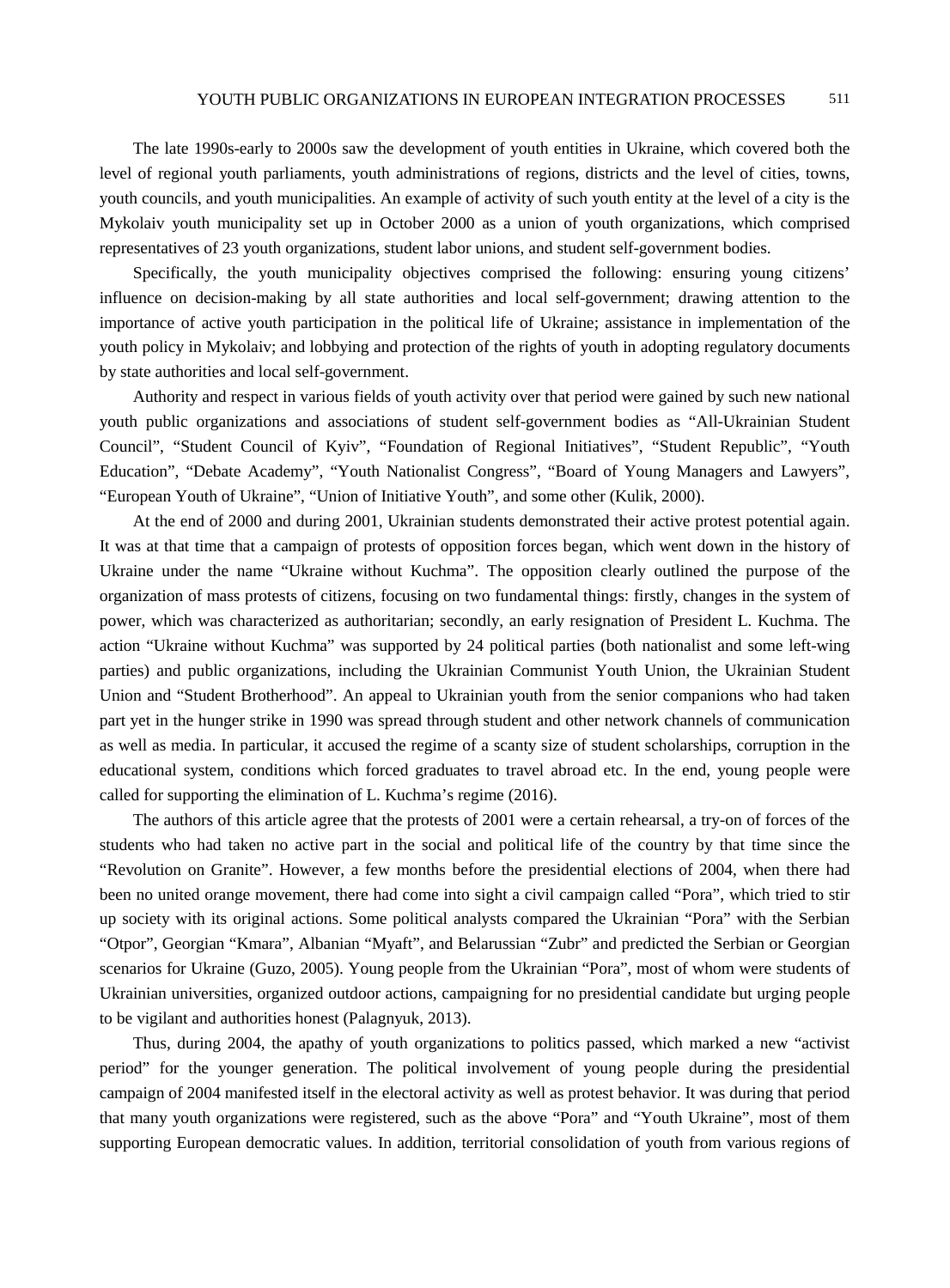The late 1990s-early to 2000s saw the development of youth entities in Ukraine, which covered both the level of regional youth parliaments, youth administrations of regions, districts and the level of cities, towns, youth councils, and youth municipalities. An example of activity of such youth entity at the level of a city is the Mykolaiv youth municipality set up in October 2000 as a union of youth organizations, which comprised representatives of 23 youth organizations, student labor unions, and student self-government bodies.

Specifically, the youth municipality objectives comprised the following: ensuring young citizens' influence on decision-making by all state authorities and local self-government; drawing attention to the importance of active youth participation in the political life of Ukraine; assistance in implementation of the youth policy in Mykolaiv; and lobbying and protection of the rights of youth in adopting regulatory documents by state authorities and local self-government.

Authority and respect in various fields of youth activity over that period were gained by such new national youth public organizations and associations of student self-government bodies as "All-Ukrainian Student Council", "Student Council of Kyiv", "Foundation of Regional Initiatives", "Student Republic", "Youth Education", "Debate Academy", "Youth Nationalist Congress", "Board of Young Managers and Lawyers", "European Youth of Ukraine", "Union of Initiative Youth", and some other (Kulik, 2000).

At the end of 2000 and during 2001, Ukrainian students demonstrated their active protest potential again. It was at that time that a campaign of protests of opposition forces began, which went down in the history of Ukraine under the name "Ukraine without Kuchma". The opposition clearly outlined the purpose of the organization of mass protests of citizens, focusing on two fundamental things: firstly, changes in the system of power, which was characterized as authoritarian; secondly, an early resignation of President L. Kuchma. The action "Ukraine without Kuchma" was supported by 24 political parties (both nationalist and some left-wing parties) and public organizations, including the Ukrainian Communist Youth Union, the Ukrainian Student Union and "Student Brotherhood". An appeal to Ukrainian youth from the senior companions who had taken part yet in the hunger strike in 1990 was spread through student and other network channels of communication as well as media. In particular, it accused the regime of a scanty size of student scholarships, corruption in the educational system, conditions which forced graduates to travel abroad etc. In the end, young people were called for supporting the elimination of L. Kuchma's regime (2016).

The authors of this article agree that the protests of 2001 were a certain rehearsal, a try-on of forces of the students who had taken no active part in the social and political life of the country by that time since the "Revolution on Granite". However, a few months before the presidential elections of 2004, when there had been no united orange movement, there had come into sight a civil campaign called "Pora", which tried to stir up society with its original actions. Some political analysts compared the Ukrainian "Pora" with the Serbian "Otpor", Georgian "Kmara", Albanian "Myaft", and Belarussian "Zubr" and predicted the Serbian or Georgian scenarios for Ukraine (Guzo, 2005). Young people from the Ukrainian "Pora", most of whom were students of Ukrainian universities, organized outdoor actions, campaigning for no presidential candidate but urging people to be vigilant and authorities honest (Palagnyuk, 2013).

Thus, during 2004, the apathy of youth organizations to politics passed, which marked a new "activist period" for the younger generation. The political involvement of young people during the presidential campaign of 2004 manifested itself in the electoral activity as well as protest behavior. It was during that period that many youth organizations were registered, such as the above "Pora" and "Youth Ukraine", most of them supporting European democratic values. In addition, territorial consolidation of youth from various regions of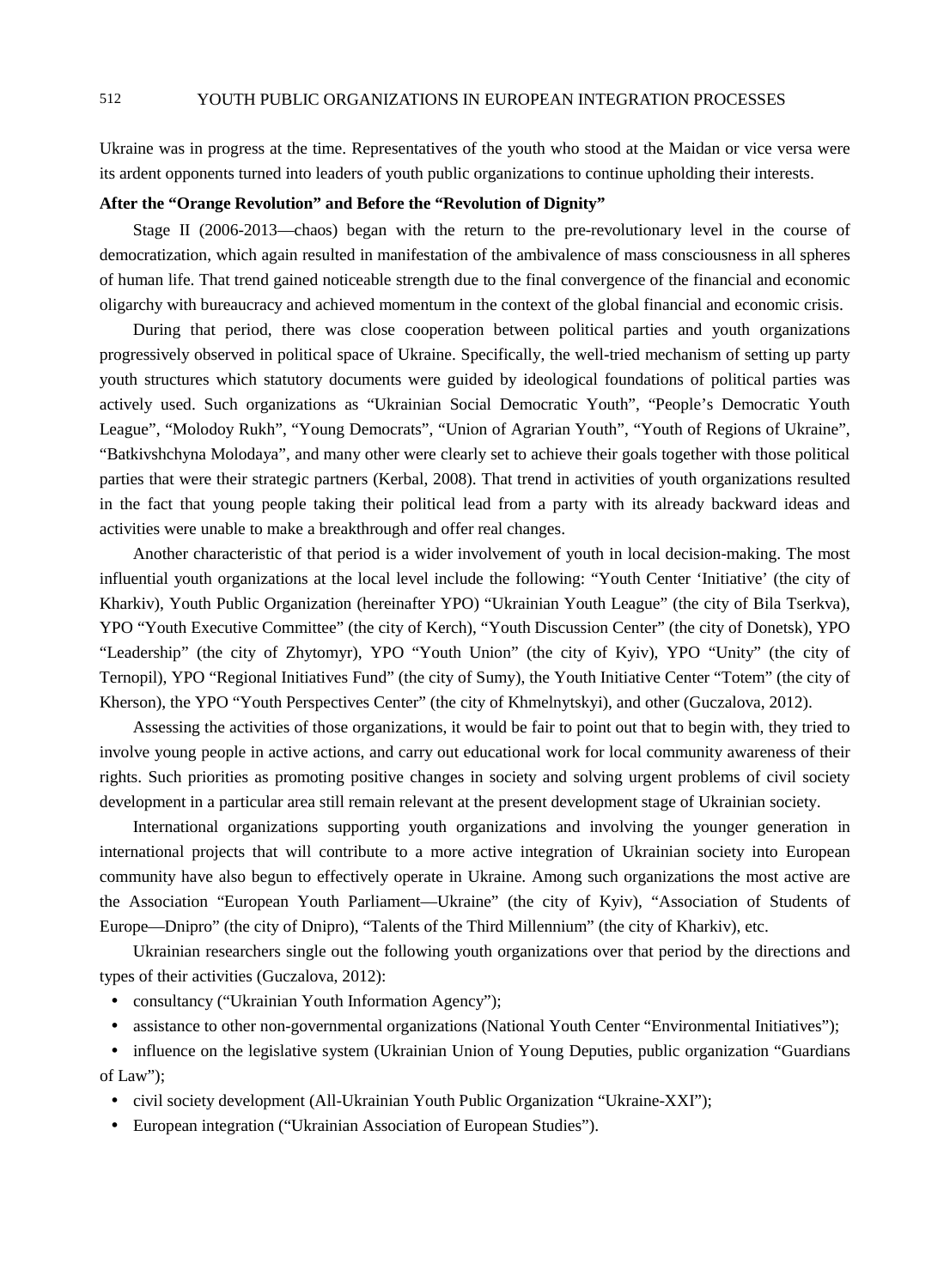Ukraine was in progress at the time. Representatives of the youth who stood at the Maidan or vice versa were its ardent opponents turned into leaders of youth public organizations to continue upholding their interests.

#### **After the "Orange Revolution" and Before the "Revolution of Dignity"**

Stage II (2006-2013—chaos) began with the return to the pre-revolutionary level in the course of democratization, which again resulted in manifestation of the ambivalence of mass consciousness in all spheres of human life. That trend gained noticeable strength due to the final convergence of the financial and economic oligarchy with bureaucracy and achieved momentum in the context of the global financial and economic crisis.

During that period, there was close cooperation between political parties and youth organizations progressively observed in political space of Ukraine. Specifically, the well-tried mechanism of setting up party youth structures which statutory documents were guided by ideological foundations of political parties was actively used. Such organizations as "Ukrainian Social Democratic Youth", "People's Democratic Youth League", "Molodoy Rukh", "Young Democrats", "Union of Agrarian Youth", "Youth of Regions of Ukraine", "Batkivshchyna Molodaya", and many other were clearly set to achieve their goals together with those political parties that were their strategic partners (Kerbal, 2008). That trend in activities of youth organizations resulted in the fact that young people taking their political lead from a party with its already backward ideas and activities were unable to make a breakthrough and offer real changes.

Another characteristic of that period is a wider involvement of youth in local decision-making. The most influential youth organizations at the local level include the following: "Youth Center 'Initiative' (the city of Kharkiv), Youth Public Organization (hereinafter YPO) "Ukrainian Youth League" (the city of Bila Tserkva), YPO "Youth Executive Committee" (the city of Kerch), "Youth Discussion Center" (the city of Donetsk), YPO "Leadership" (the city of Zhytomyr), YPO "Youth Union" (the city of Kyiv), YPO "Unity" (the city of Ternopil), YPO "Regional Initiatives Fund" (the city of Sumy), the Youth Initiative Center "Totem" (the city of Kherson), the YPO "Youth Perspectives Center" (the city of Khmelnytskyi), and other (Guczalova, 2012).

Assessing the activities of those organizations, it would be fair to point out that to begin with, they tried to involve young people in active actions, and carry out educational work for local community awareness of their rights. Such priorities as promoting positive changes in society and solving urgent problems of civil society development in a particular area still remain relevant at the present development stage of Ukrainian society.

International organizations supporting youth organizations and involving the younger generation in international projects that will contribute to a more active integration of Ukrainian society into European community have also begun to effectively operate in Ukraine. Among such organizations the most active are the Association "European Youth Parliament—Ukraine" (the city of Kyiv), "Association of Students of Europe—Dnipro" (the city of Dnipro), "Talents of the Third Millennium" (the city of Kharkiv), etc.

Ukrainian researchers single out the following youth organizations over that period by the directions and types of their activities (Guczalova, 2012):

- consultancy ("Ukrainian Youth Information Agency");
- assistance to other non-governmental organizations (National Youth Center "Environmental Initiatives");

• influence on the legislative system (Ukrainian Union of Young Deputies, public organization "Guardians" of Law");

- civil society development (All-Ukrainian Youth Public Organization "Ukraine-XXI");
- European integration ("Ukrainian Association of European Studies").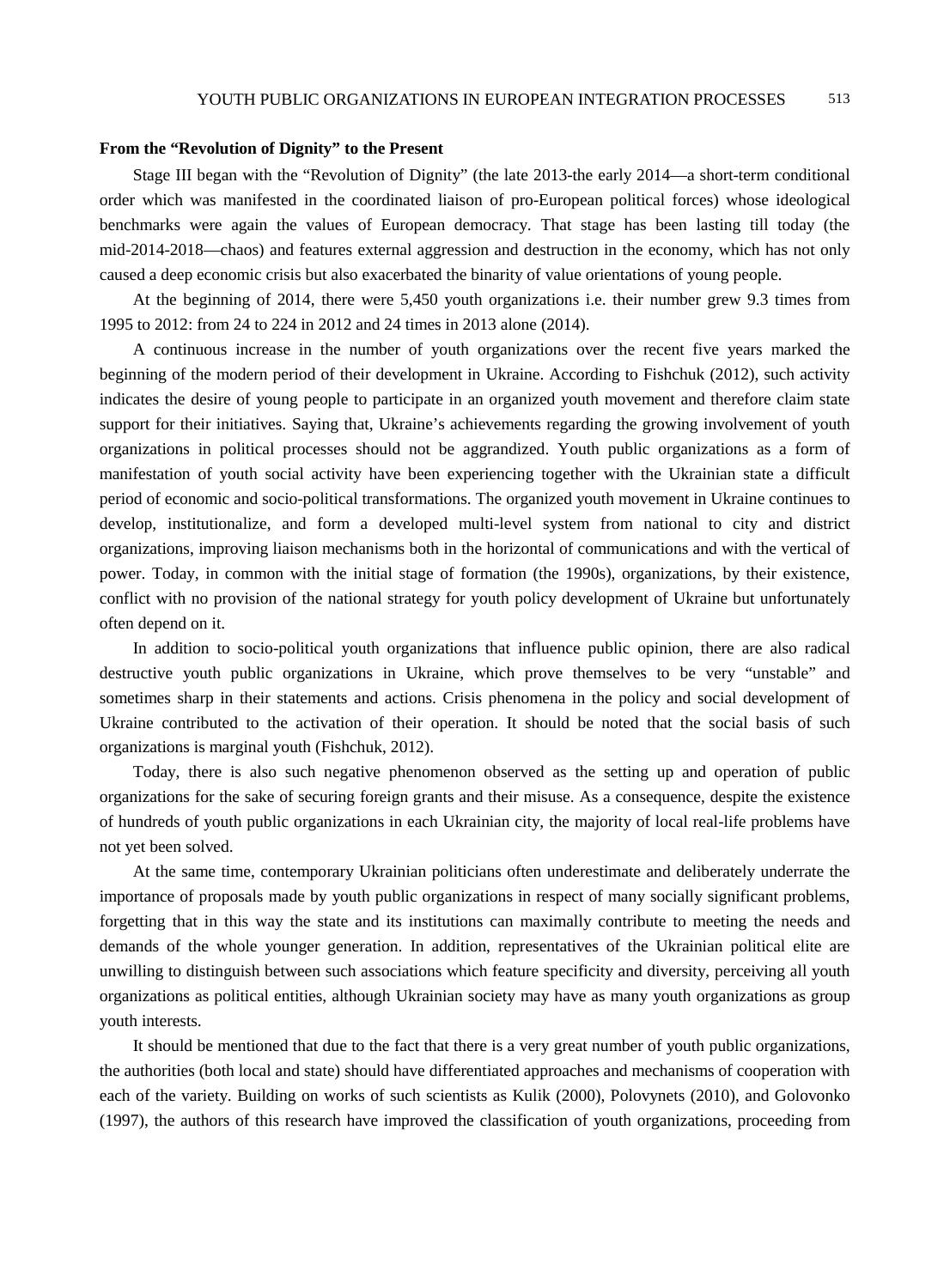#### **From the "Revolution of Dignity" to the Present**

Stage III began with the "Revolution of Dignity" (the late 2013-the early 2014—a short-term conditional order which was manifested in the coordinated liaison of pro-European political forces) whose ideological benchmarks were again the values of European democracy. That stage has been lasting till today (the mid-2014-2018—chaos) and features external aggression and destruction in the economy, which has not only caused a deep economic crisis but also exacerbated the binarity of value orientations of young people.

At the beginning of 2014, there were 5,450 youth organizations i.e. their number grew 9.3 times from 1995 to 2012: from 24 to 224 in 2012 and 24 times in 2013 alone (2014).

A continuous increase in the number of youth organizations over the recent five years marked the beginning of the modern period of their development in Ukraine. According to Fishchuk (2012), such activity indicates the desire of young people to participate in an organized youth movement and therefore claim state support for their initiatives. Saying that, Ukraine's achievements regarding the growing involvement of youth organizations in political processes should not be aggrandized. Youth public organizations as a form of manifestation of youth social activity have been experiencing together with the Ukrainian state a difficult period of economic and socio-political transformations. The organized youth movement in Ukraine continues to develop, institutionalize, and form a developed multi-level system from national to city and district organizations, improving liaison mechanisms both in the horizontal of communications and with the vertical of power. Today, in common with the initial stage of formation (the 1990s), organizations, by their existence, conflict with no provision of the national strategy for youth policy development of Ukraine but unfortunately often depend on it.

In addition to socio-political youth organizations that influence public opinion, there are also radical destructive youth public organizations in Ukraine, which prove themselves to be very "unstable" and sometimes sharp in their statements and actions. Crisis phenomena in the policy and social development of Ukraine contributed to the activation of their operation. It should be noted that the social basis of such organizations is marginal youth (Fishchuk, 2012).

Today, there is also such negative phenomenon observed as the setting up and operation of public organizations for the sake of securing foreign grants and their misuse. As a consequence, despite the existence of hundreds of youth public organizations in each Ukrainian city, the majority of local real-life problems have not yet been solved.

At the same time, contemporary Ukrainian politicians often underestimate and deliberately underrate the importance of proposals made by youth public organizations in respect of many socially significant problems, forgetting that in this way the state and its institutions can maximally contribute to meeting the needs and demands of the whole younger generation. In addition, representatives of the Ukrainian political elite are unwilling to distinguish between such associations which feature specificity and diversity, perceiving all youth organizations as political entities, although Ukrainian society may have as many youth organizations as group youth interests.

It should be mentioned that due to the fact that there is a very great number of youth public organizations, the authorities (both local and state) should have differentiated approaches and mechanisms of cooperation with each of the variety. Building on works of such scientists as Kulik (2000), Polovynets (2010), and Golovonko (1997), the authors of this research have improved the classification of youth organizations, proceeding from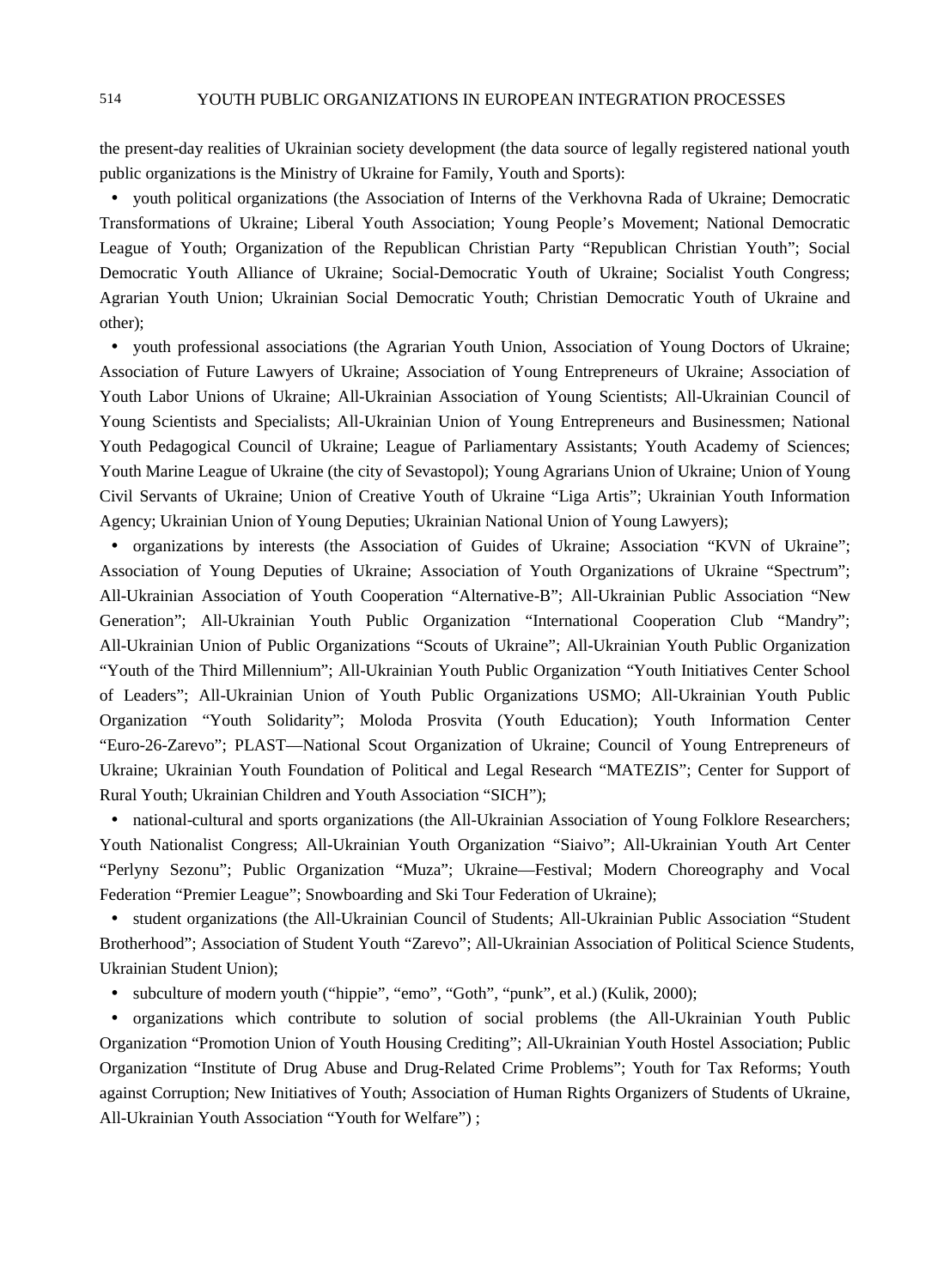the present-day realities of Ukrainian society development (the data source of legally registered national youth public organizations is the Ministry of Ukraine for Family, Youth and Sports):

 youth political organizations (the Association of Interns of the Verkhovna Rada of Ukraine; Democratic Transformations of Ukraine; Liberal Youth Association; Young People's Movement; National Democratic League of Youth; Organization of the Republican Christian Party "Republican Christian Youth"; Social Democratic Youth Alliance of Ukraine; Social-Democratic Youth of Ukraine; Socialist Youth Congress; Agrarian Youth Union; Ukrainian Social Democratic Youth; Christian Democratic Youth of Ukraine and other);

 youth professional associations (the Agrarian Youth Union, Association of Young Doctors of Ukraine; Association of Future Lawyers of Ukraine; Association of Young Entrepreneurs of Ukraine; Association of Youth Labor Unions of Ukraine; All-Ukrainian Association of Young Scientists; All-Ukrainian Council of Young Scientists and Specialists; All-Ukrainian Union of Young Entrepreneurs and Businessmen; National Youth Pedagogical Council of Ukraine; League of Parliamentary Assistants; Youth Academy of Sciences; Youth Marine League of Ukraine (the city of Sevastopol); Young Agrarians Union of Ukraine; Union of Young Civil Servants of Ukraine; Union of Creative Youth of Ukraine "Liga Artis"; Ukrainian Youth Information Agency; Ukrainian Union of Young Deputies; Ukrainian National Union of Young Lawyers);

 organizations by interests (the Association of Guides of Ukraine; Association "KVN of Ukraine"; Association of Young Deputies of Ukraine; Association of Youth Organizations of Ukraine "Spectrum"; All-Ukrainian Association of Youth Cooperation "Alternative-B"; All-Ukrainian Public Association "New Generation"; All-Ukrainian Youth Public Organization "International Cooperation Club "Mandry"; All-Ukrainian Union of Public Organizations "Scouts of Ukraine"; All-Ukrainian Youth Public Organization "Youth of the Third Millennium"; All-Ukrainian Youth Public Organization "Youth Initiatives Center School of Leaders"; All-Ukrainian Union of Youth Public Organizations USMO; All-Ukrainian Youth Public Organization "Youth Solidarity"; Moloda Prosvita (Youth Education); Youth Information Center "Euro-26-Zarevo"; PLAST—National Scout Organization of Ukraine; Council of Young Entrepreneurs of Ukraine; Ukrainian Youth Foundation of Political and Legal Research "MATEZIS"; Center for Support of Rural Youth; Ukrainian Children and Youth Association "SICH");

 national-cultural and sports organizations (the All-Ukrainian Association of Young Folklore Researchers; Youth Nationalist Congress; All-Ukrainian Youth Organization "Siaivo"; All-Ukrainian Youth Art Center "Perlyny Sezonu"; Public Organization "Muza"; Ukraine—Festival; Modern Choreography and Vocal Federation "Premier League"; Snowboarding and Ski Tour Federation of Ukraine);

 student organizations (the All-Ukrainian Council of Students; All-Ukrainian Public Association "Student Brotherhood"; Association of Student Youth "Zarevo"; All-Ukrainian Association of Political Science Students, Ukrainian Student Union);

subculture of modern youth ("hippie", "emo", "Goth", "punk", et al.) (Kulik, 2000);

 organizations which contribute to solution of social problems (the All-Ukrainian Youth Public Organization "Promotion Union of Youth Housing Crediting"; All-Ukrainian Youth Hostel Association; Public Organization "Institute of Drug Abuse and Drug-Related Crime Problems"; Youth for Tax Reforms; Youth against Corruption; New Initiatives of Youth; Association of Human Rights Organizers of Students of Ukraine, All-Ukrainian Youth Association "Youth for Welfare");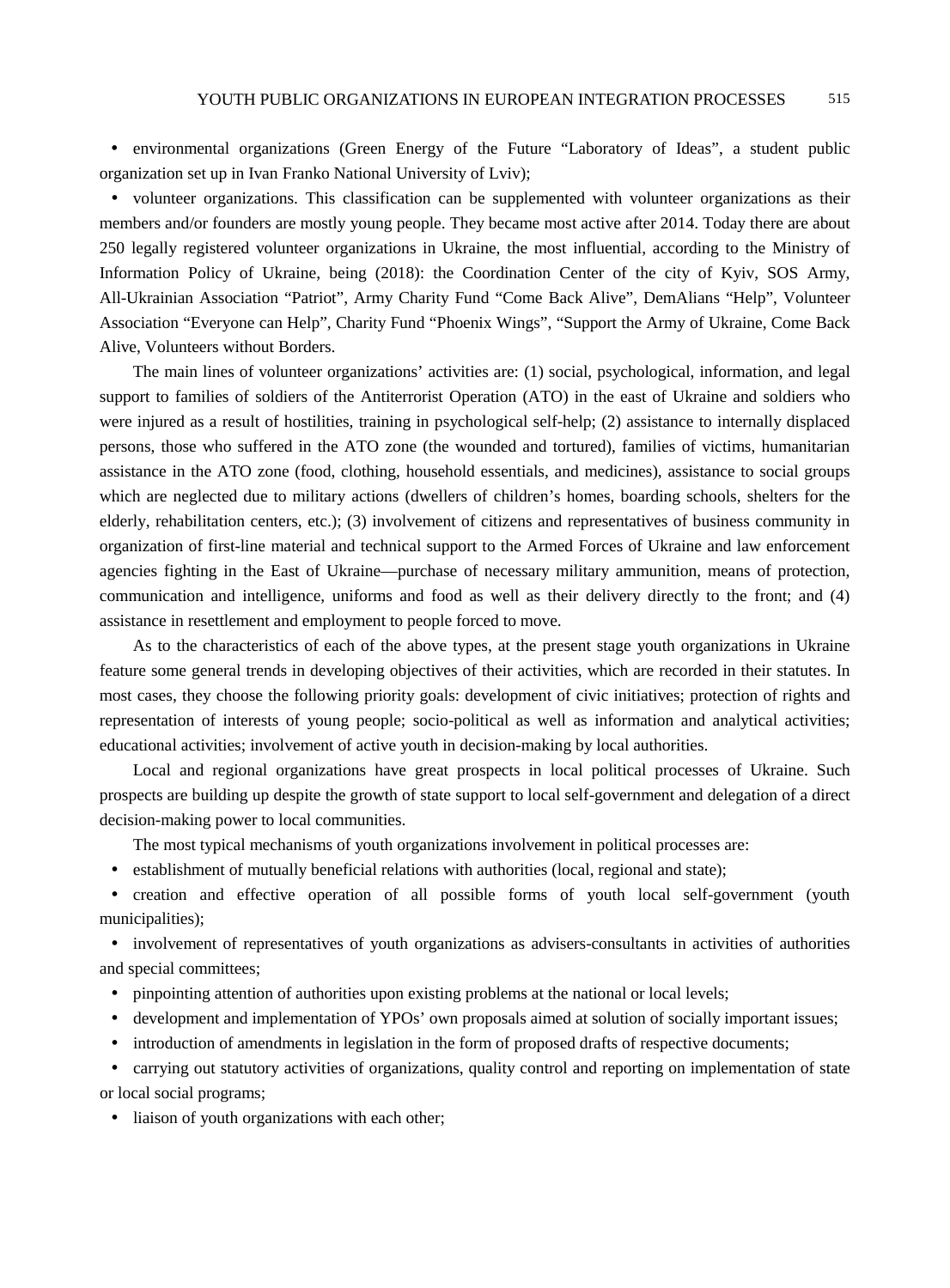environmental organizations (Green Energy of the Future "Laboratory of Ideas", a student public organization set up in Ivan Franko National University of Lviv);

• volunteer organizations. This classification can be supplemented with volunteer organizations as their members and/or founders are mostly young people. They became most active after 2014. Today there are about 250 legally registered volunteer organizations in Ukraine, the most influential, according to the Ministry of Information Policy of Ukraine, being (2018): the Coordination Center of the city of Kyiv, SOS Army, All-Ukrainian Association "Patriot", Army Charity Fund "Come Back Alive", DemAlians "Help", Volunteer Association "Everyone can Help", Charity Fund "Phoenix Wings", "Support the Army of Ukraine, Come Back Alive, Volunteers without Borders.

The main lines of volunteer organizations' activities are: (1) social, psychological, information, and legal support to families of soldiers of the Antiterrorist Operation (ATO) in the east of Ukraine and soldiers who were injured as a result of hostilities, training in psychological self-help; (2) assistance to internally displaced persons, those who suffered in the ATO zone (the wounded and tortured), families of victims, humanitarian assistance in the ATO zone (food, clothing, household essentials, and medicines), assistance to social groups which are neglected due to military actions (dwellers of children's homes, boarding schools, shelters for the elderly, rehabilitation centers, etc.); (3) involvement of citizens and representatives of business community in organization of first-line material and technical support to the Armed Forces of Ukraine and law enforcement agencies fighting in the East of Ukraine—purchase of necessary military ammunition, means of protection, communication and intelligence, uniforms and food as well as their delivery directly to the front; and (4) assistance in resettlement and employment to people forced to move.

As to the characteristics of each of the above types, at the present stage youth organizations in Ukraine feature some general trends in developing objectives of their activities, which are recorded in their statutes. In most cases, they choose the following priority goals: development of civic initiatives; protection of rights and representation of interests of young people; socio-political as well as information and analytical activities; educational activities; involvement of active youth in decision-making by local authorities.

Local and regional organizations have great prospects in local political processes of Ukraine. Such prospects are building up despite the growth of state support to local self-government and delegation of a direct decision-making power to local communities.

The most typical mechanisms of youth organizations involvement in political processes are:

establishment of mutually beneficial relations with authorities (local, regional and state);

 creation and effective operation of all possible forms of youth local self-government (youth municipalities);

 involvement of representatives of youth organizations as advisers-consultants in activities of authorities and special committees;

- pinpointing attention of authorities upon existing problems at the national or local levels;
- development and implementation of YPOs' own proposals aimed at solution of socially important issues;
- introduction of amendments in legislation in the form of proposed drafts of respective documents;

 carrying out statutory activities of organizations, quality control and reporting on implementation of state or local social programs;

• liaison of youth organizations with each other;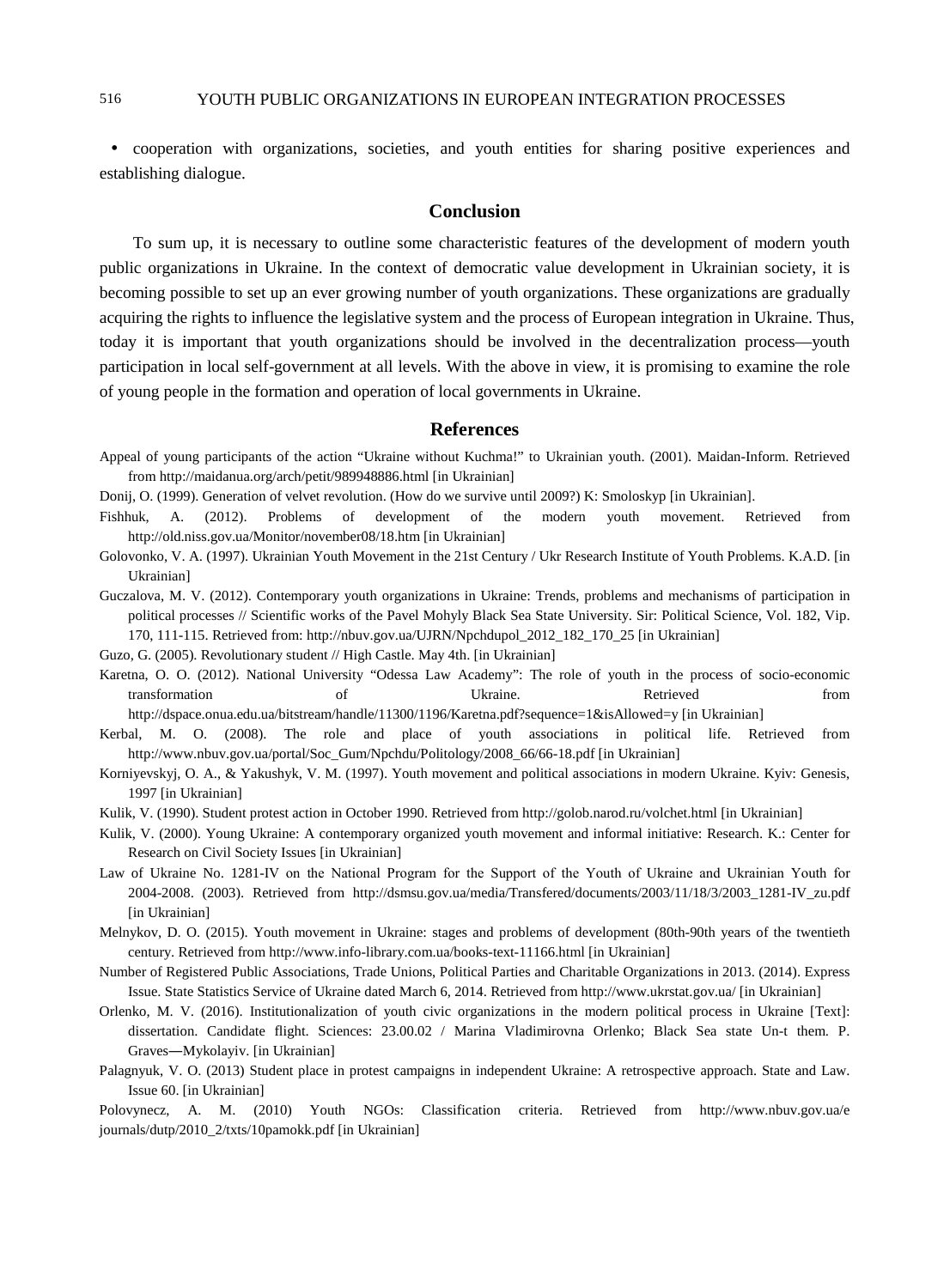cooperation with organizations, societies, and youth entities for sharing positive experiences and establishing dialogue.

## **Conclusion**

To sum up, it is necessary to outline some characteristic features of the development of modern youth public organizations in Ukraine. In the context of democratic value development in Ukrainian society, it is becoming possible to set up an ever growing number of youth organizations. These organizations are gradually acquiring the rights to influence the legislative system and the process of European integration in Ukraine. Thus, today it is important that youth organizations should be involved in the decentralization process—youth participation in local self-government at all levels. With the above in view, it is promising to examine the role of young people in the formation and operation of local governments in Ukraine.

# **References**

- Appeal of young participants of the action "Ukraine without Kuchma!" to Ukrainian youth. (2001). Maidan-Inform. Retrieved from http://maidanua.org/arch/petit/989948886.html [in Ukrainian]
- Donij, O. (1999). Generation of velvet revolution. (How do we survive until 2009?) K: Smoloskyp [in Ukrainian].
- Fishhuk, A. (2012). Problems of development of the modern youth movement. Retrieved from <http://old.niss.gov.ua/Monitor/november08/18.htm> [in Ukrainian]
- Golovonko, V. A. (1997). Ukrainian Youth Movement in the 21st Century / Ukr Research Institute of Youth Problems. K.A.D. [in Ukrainian]
- Guczalova, M. V. (2012). Contemporary youth organizations in Ukraine: Trends, problems and mechanisms of participation in political processes // Scientific works of the Pavel Mohyly Black Sea State University. Sir: Political Science, Vol. 182, Vip. 170, 111-115. Retrieved from: http://nbuv.gov.ua/UJRN/Npchdupol\_2012\_182\_170\_25 [in Ukrainian]
- Guzo, G. (2005). Revolutionary student // High Castle. May 4th. [in Ukrainian]
- Karetna, O. O. (2012). National University "Odessa Law Academy": The role of youth in the process of socio-economic transformation of Ukraine. Retrieved from

http://dspace.onua.edu.ua/bitstream/handle/11300/1196/Karetna.pdf?sequence=1&isAllowed=y [in Ukrainian]

- Kerbal, M. O. (2008). The role and place of youth associations in political life. Retrieved from http://www.nbuv.gov.ua/portal/Soc\_Gum/Npchdu/Politology/2008\_66/66-18.pdf [in Ukrainian]
- Korniyevskyj, O. A., & Yakushyk, V. M. (1997). Youth movement and political associations in modern Ukraine. Kyiv: Genesis, 1997 [in Ukrainian]
- Kulik, V. (1990). Student protest action in October 1990. Retrieved from http://golob.narod.ru/volchet.html [in Ukrainian]
- Kulik, V. (2000). Young Ukraine: A contemporary organized youth movement and informal initiative: Research. K.: Center for Research on Civil Society Issues [in Ukrainian]
- Law of Ukraine No. 1281-ІV on the National Program for the Support of the Youth of Ukraine and Ukrainian Youth for 2004-2008. (2003). Retrieved from [http://dsmsu.gov.ua/media/Transfered/documents/2003/11/18/3/2003\\_1281-IV\\_zu.pdf](http://dsmsu.gov.ua/media/Transfered/documents/2003/11/18/3/2003_1281-IV_zu.pdf) [in Ukrainian]
- Melnykov, D. O. (2015). Youth movement in Ukraine: stages and problems of development (80th-90th years of the twentieth century. Retrieved from<http://www.info-library.com.ua/books-text-11166.html> [in Ukrainian]
- Number of Registered Public Associations, Trade Unions, Political Parties and Charitable Organizations in 2013. (2014). Express Issue. State Statistics Service of Ukraine dated March 6, 2014. Retrieved from http://www.ukrstat.gov.ua/ [in Ukrainian]
- Orlenko, M. V. (2016). Institutionalization of youth civic organizations in the modern political process in Ukraine [Text]: dissertation. Candidate flight. Sciences: 23.00.02 / Marina Vladimirovna Orlenko; Black Sea state Un-t them. P. Graves―Mykolayiv. [in Ukrainian]
- Palagnyuk, V. O. (2013) Student place in protest campaigns in independent Ukraine: A retrospective approach. State and Law. Issue 60. [in Ukrainian]

Polovynecz, A. M. (2010) Youth NGOs: Classification criteria. Retrieved from http://www.nbuv.gov.ua/e journals/dutp/2010\_2/txts/10pamokk.pdf [in Ukrainian]